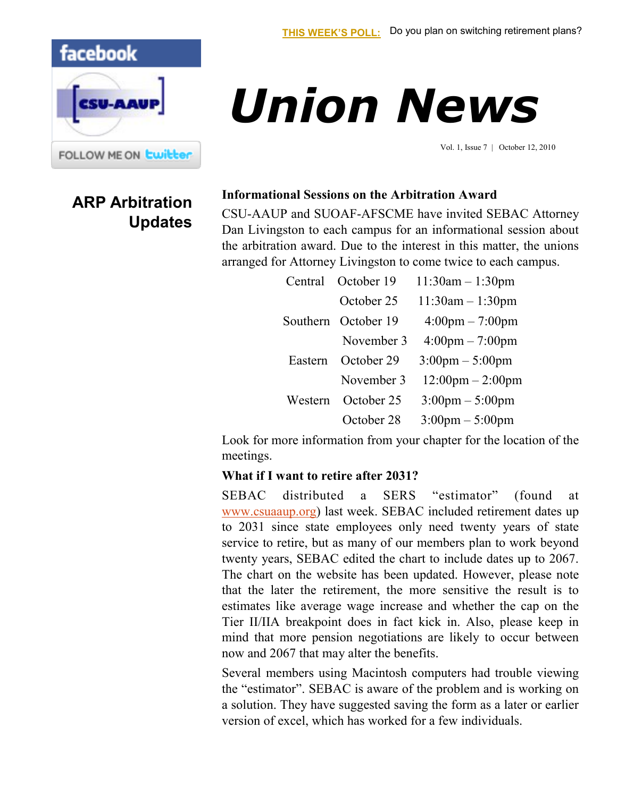## facebook



## **ARP Arbitration Updates**

# *Union News*

Vol. 1, Issue 7 | October 12, 2010

#### **Informational Sessions on the Arbitration Award**

CSU-AAUP and SUOAF-AFSCME have invited SEBAC Attorney Dan Livingston to each campus for an informational session about the arbitration award. Due to the interest in this matter, the unions arranged for Attorney Livingston to come twice to each campus.

| Central  | October 19 | $11:30am - 1:30pm$                 |
|----------|------------|------------------------------------|
|          | October 25 | $11:30am - 1:30pm$                 |
| Southern | October 19 | $4:00 \text{pm} - 7:00 \text{pm}$  |
|          | November 3 | $4:00 \text{pm} - 7:00 \text{pm}$  |
| Eastern  | October 29 | $3:00 \text{pm} - 5:00 \text{pm}$  |
|          | November 3 | $12:00 \text{pm} - 2:00 \text{pm}$ |
| Western  | October 25 | $3:00 \text{pm} - 5:00 \text{pm}$  |
|          | October 28 | $3:00 \text{pm} - 5:00 \text{pm}$  |

Look for more information from your chapter for the location of the meetings.

#### **What if I want to retire after 2031?**

SEBAC distributed a SERS "estimator" (found at [www.csuaaup.org\)](http://www.csuaaup.org) last week. SEBAC included retirement dates up to 2031 since state employees only need twenty years of state service to retire, but as many of our members plan to work beyond twenty years, SEBAC edited the chart to include dates up to 2067. The chart on the website has been updated. However, please note that the later the retirement, the more sensitive the result is to estimates like average wage increase and whether the cap on the Tier II/IIA breakpoint does in fact kick in. Also, please keep in mind that more pension negotiations are likely to occur between now and 2067 that may alter the benefits.

Several members using Macintosh computers had trouble viewing the "estimator". SEBAC is aware of the problem and is working on a solution. They have suggested saving the form as a later or earlier version of excel, which has worked for a few individuals.